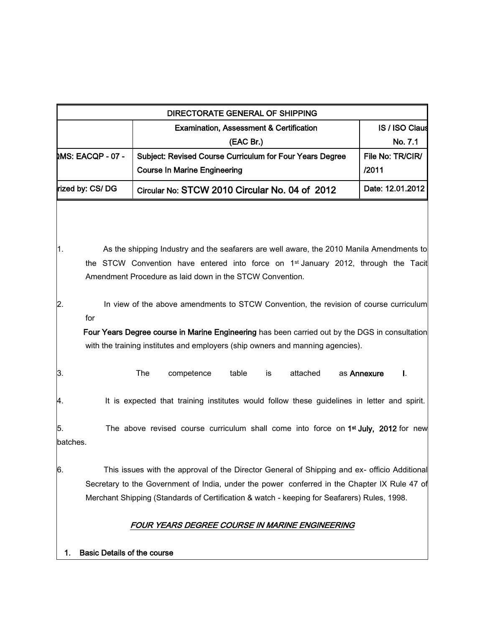| <b>MS: EACQP - 07 -</b> |                                                          |                                                |                                    |                                                    |          |                                                          |                                                | <b>IS / ISO Claus</b>                                                                                                                                                                                                                                                                                                                                                                                                                                                                                                                                                                                                                                                                                                                                                                                                                                                                                                                                                                   |  |
|-------------------------|----------------------------------------------------------|------------------------------------------------|------------------------------------|----------------------------------------------------|----------|----------------------------------------------------------|------------------------------------------------|-----------------------------------------------------------------------------------------------------------------------------------------------------------------------------------------------------------------------------------------------------------------------------------------------------------------------------------------------------------------------------------------------------------------------------------------------------------------------------------------------------------------------------------------------------------------------------------------------------------------------------------------------------------------------------------------------------------------------------------------------------------------------------------------------------------------------------------------------------------------------------------------------------------------------------------------------------------------------------------------|--|
|                         |                                                          |                                                |                                    | <b>Examination, Assessment &amp; Certification</b> |          |                                                          |                                                |                                                                                                                                                                                                                                                                                                                                                                                                                                                                                                                                                                                                                                                                                                                                                                                                                                                                                                                                                                                         |  |
|                         |                                                          | (EAC Br.)                                      |                                    |                                                    |          |                                                          | No. 7.1                                        |                                                                                                                                                                                                                                                                                                                                                                                                                                                                                                                                                                                                                                                                                                                                                                                                                                                                                                                                                                                         |  |
|                         | Subject: Revised Course Curriculum for Four Years Degree |                                                |                                    |                                                    |          | File No: TR/CIR/                                         |                                                |                                                                                                                                                                                                                                                                                                                                                                                                                                                                                                                                                                                                                                                                                                                                                                                                                                                                                                                                                                                         |  |
|                         |                                                          | <b>Course In Marine Engineering</b>            |                                    |                                                    |          |                                                          | /2011                                          |                                                                                                                                                                                                                                                                                                                                                                                                                                                                                                                                                                                                                                                                                                                                                                                                                                                                                                                                                                                         |  |
| rized by: CS/DG         |                                                          | Circular No: STCW 2010 Circular No. 04 of 2012 |                                    |                                                    |          |                                                          |                                                | Date: 12.01.2012                                                                                                                                                                                                                                                                                                                                                                                                                                                                                                                                                                                                                                                                                                                                                                                                                                                                                                                                                                        |  |
|                         |                                                          |                                                |                                    |                                                    |          |                                                          |                                                |                                                                                                                                                                                                                                                                                                                                                                                                                                                                                                                                                                                                                                                                                                                                                                                                                                                                                                                                                                                         |  |
|                         |                                                          |                                                |                                    |                                                    |          |                                                          |                                                |                                                                                                                                                                                                                                                                                                                                                                                                                                                                                                                                                                                                                                                                                                                                                                                                                                                                                                                                                                                         |  |
|                         |                                                          |                                                |                                    |                                                    |          |                                                          |                                                |                                                                                                                                                                                                                                                                                                                                                                                                                                                                                                                                                                                                                                                                                                                                                                                                                                                                                                                                                                                         |  |
|                         |                                                          |                                                |                                    |                                                    |          |                                                          |                                                |                                                                                                                                                                                                                                                                                                                                                                                                                                                                                                                                                                                                                                                                                                                                                                                                                                                                                                                                                                                         |  |
|                         |                                                          |                                                |                                    |                                                    |          |                                                          |                                                |                                                                                                                                                                                                                                                                                                                                                                                                                                                                                                                                                                                                                                                                                                                                                                                                                                                                                                                                                                                         |  |
|                         |                                                          |                                                |                                    |                                                    |          |                                                          |                                                |                                                                                                                                                                                                                                                                                                                                                                                                                                                                                                                                                                                                                                                                                                                                                                                                                                                                                                                                                                                         |  |
| for                     |                                                          |                                                |                                    |                                                    |          |                                                          |                                                |                                                                                                                                                                                                                                                                                                                                                                                                                                                                                                                                                                                                                                                                                                                                                                                                                                                                                                                                                                                         |  |
|                         |                                                          |                                                |                                    |                                                    |          |                                                          |                                                |                                                                                                                                                                                                                                                                                                                                                                                                                                                                                                                                                                                                                                                                                                                                                                                                                                                                                                                                                                                         |  |
|                         |                                                          |                                                |                                    |                                                    |          |                                                          |                                                |                                                                                                                                                                                                                                                                                                                                                                                                                                                                                                                                                                                                                                                                                                                                                                                                                                                                                                                                                                                         |  |
|                         | The                                                      | competence                                     | table                              | is                                                 | attached |                                                          |                                                | I.                                                                                                                                                                                                                                                                                                                                                                                                                                                                                                                                                                                                                                                                                                                                                                                                                                                                                                                                                                                      |  |
|                         |                                                          |                                                |                                    |                                                    |          |                                                          |                                                |                                                                                                                                                                                                                                                                                                                                                                                                                                                                                                                                                                                                                                                                                                                                                                                                                                                                                                                                                                                         |  |
|                         |                                                          |                                                |                                    |                                                    |          |                                                          |                                                |                                                                                                                                                                                                                                                                                                                                                                                                                                                                                                                                                                                                                                                                                                                                                                                                                                                                                                                                                                                         |  |
| batches.                |                                                          |                                                |                                    |                                                    |          |                                                          |                                                |                                                                                                                                                                                                                                                                                                                                                                                                                                                                                                                                                                                                                                                                                                                                                                                                                                                                                                                                                                                         |  |
|                         |                                                          |                                                |                                    |                                                    |          |                                                          |                                                |                                                                                                                                                                                                                                                                                                                                                                                                                                                                                                                                                                                                                                                                                                                                                                                                                                                                                                                                                                                         |  |
|                         |                                                          |                                                |                                    |                                                    |          |                                                          |                                                |                                                                                                                                                                                                                                                                                                                                                                                                                                                                                                                                                                                                                                                                                                                                                                                                                                                                                                                                                                                         |  |
|                         |                                                          |                                                |                                    |                                                    |          |                                                          |                                                |                                                                                                                                                                                                                                                                                                                                                                                                                                                                                                                                                                                                                                                                                                                                                                                                                                                                                                                                                                                         |  |
|                         |                                                          |                                                |                                    |                                                    |          |                                                          |                                                |                                                                                                                                                                                                                                                                                                                                                                                                                                                                                                                                                                                                                                                                                                                                                                                                                                                                                                                                                                                         |  |
|                         |                                                          |                                                | <b>Basic Details of the course</b> |                                                    |          | Amendment Procedure as laid down in the STCW Convention. | FOUR YEARS DEGREE COURSE IN MARINE ENGINEERING | As the shipping Industry and the seafarers are well aware, the 2010 Manila Amendments to<br>the STCW Convention have entered into force on 1 <sup>st</sup> January 2012, through the Tacit<br>In view of the above amendments to STCW Convention, the revision of course curriculum<br>Four Years Degree course in Marine Engineering has been carried out by the DGS in consultation<br>with the training institutes and employers (ship owners and manning agencies).<br>as Annexure<br>It is expected that training institutes would follow these guidelines in letter and spirit.<br>The above revised course curriculum shall come into force on 1 <sup>st</sup> July, 2012 for new<br>This issues with the approval of the Director General of Shipping and ex- officio Additional<br>Secretary to the Government of India, under the power conferred in the Chapter IX Rule 47 of<br>Merchant Shipping (Standards of Certification & watch - keeping for Seafarers) Rules, 1998. |  |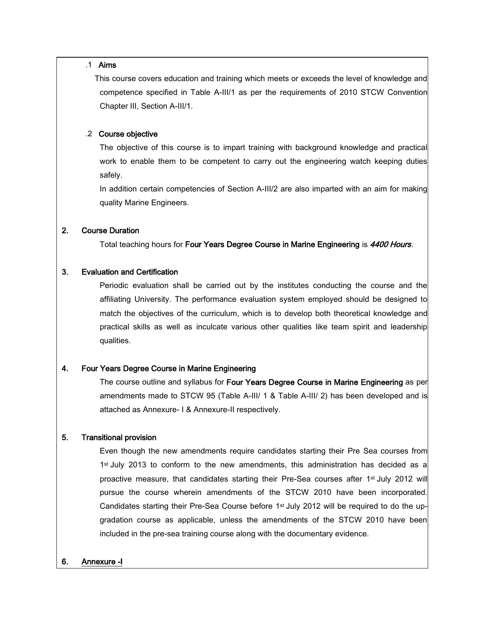#### .1 Aims

 This course covers education and training which meets or exceeds the level of knowledge and competence specified in Table A-III/1 as per the requirements of 2010 STCW Convention Chapter III, Section A-III/1.

#### .2 Course objective

The objective of this course is to impart training with background knowledge and practical work to enable them to be competent to carry out the engineering watch keeping duties safely.

In addition certain competencies of Section A-III/2 are also imparted with an aim for making quality Marine Engineers.

# 2. Course Duration

Total teaching hours for Four Years Degree Course in Marine Engineering is 4400 Hours.

### 3. Evaluation and Certification

Periodic evaluation shall be carried out by the institutes conducting the course and the affiliating University. The performance evaluation system employed should be designed to match the objectives of the curriculum, which is to develop both theoretical knowledge and practical skills as well as inculcate various other qualities like team spirit and leadership qualities.

### 4. Four Years Degree Course in Marine Engineering

The course outline and syllabus for Four Years Degree Course in Marine Engineering as per amendments made to STCW 95 (Table A-III/ 1 & Table A-III/ 2) has been developed and is attached as Annexure- I & Annexure-II respectively.

# 5. Transitional provision

Even though the new amendments require candidates starting their Pre Sea courses from 1st July 2013 to conform to the new amendments, this administration has decided as a proactive measure, that candidates starting their Pre-Sea courses after 1<sup>st</sup> July 2012 will pursue the course wherein amendments of the STCW 2010 have been incorporated. Candidates starting their Pre-Sea Course before 1<sup>st</sup> July 2012 will be required to do the upgradation course as applicable, unless the amendments of the STCW 2010 have been included in the pre-sea training course along with the documentary evidence.

### 6. [Annexure -I](http://www.dgshipping.com/dgship/final/notices/stcwcir4_2012_annexI.xls)